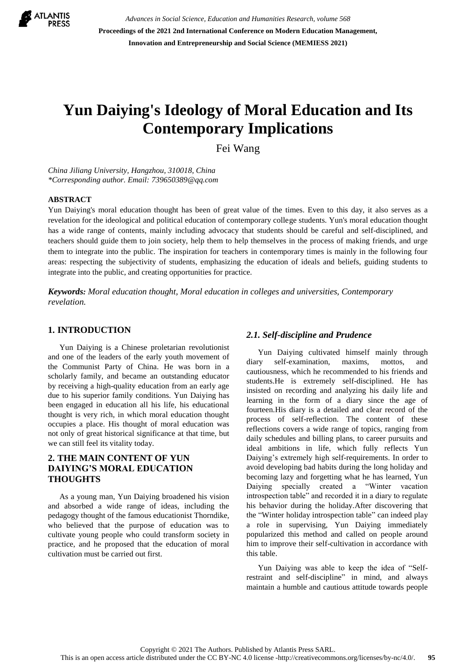

*Advances in Social Science, Education and Humanities Research, volume 568* **Proceedings of the 2021 2nd International Conference on Modern Education Management, Innovation and Entrepreneurship and Social Science (MEMIESS 2021)**

# **Yun Daiying's Ideology of Moral Education and Its Contemporary Implications**

Fei Wang

*China Jiliang University, Hangzhou, 310018, China \*Corresponding author. Email: [739650389@qq.com](mailto:author@example.com)*

#### **ABSTRACT**

Yun Daiying's moral education thought has been of great value of the times. Even to this day, it also serves as a revelation for the ideological and political education of contemporary college students. Yun's moral education thought has a wide range of contents, mainly including advocacy that students should be careful and self-disciplined, and teachers should guide them to join society, help them to help themselves in the process of making friends, and urge them to integrate into the public. The inspiration for teachers in contemporary times is mainly in the following four areas: respecting the subjectivity of students, emphasizing the education of ideals and beliefs, guiding students to integrate into the public, and creating opportunities for practice.

*Keywords: Moral education thought, Moral education in colleges and universities, Contemporary revelation.*

#### **1. INTRODUCTION**

Yun Daiying is a Chinese proletarian revolutionist and one of the leaders of the early youth movement of the Communist Party of China. He was born in a scholarly family, and became an outstanding educator by receiving a high-quality education from an early age due to his superior family conditions. Yun Daiying has been engaged in education all his life, his educational thought is very rich, in which moral education thought occupies a place. His thought of moral education was not only of great historical significance at that time, but we can still feel its vitality today.

## **2. THE MAIN CONTENT OF YUN DAIYING'S MORAL EDUCATION THOUGHTS**

As a young man, Yun Daiying broadened his vision and absorbed a wide range of ideas, including the pedagogy thought of the famous educationist Thorndike, who believed that the purpose of education was to cultivate young people who could transform society in practice, and he proposed that the education of moral cultivation must be carried out first.

#### *2.1. Self-discipline and Prudence*

Yun Daiying cultivated himself mainly through diary self-examination, maxims, mottos, and cautiousness, which he recommended to his friends and students.He is extremely self-disciplined. He has insisted on recording and analyzing his daily life and learning in the form of a diary since the age of fourteen.His diary is a detailed and clear record of the process of self-reflection. The content of these reflections covers a wide range of topics, ranging from daily schedules and billing plans, to career pursuits and ideal ambitions in life, which fully reflects Yun Daiying's extremely high self-requirements. In order to avoid developing bad habits during the long holiday and becoming lazy and forgetting what he has learned, Yun Daiying specially created a "Winter vacation introspection table" and recorded it in a diary to regulate his behavior during the holiday.After discovering that the "Winter holiday introspection table" can indeed play a role in supervising, Yun Daiying immediately popularized this method and called on people around him to improve their self-cultivation in accordance with this table.

Yun Daiying was able to keep the idea of "Selfrestraint and self-discipline" in mind, and always maintain a humble and cautious attitude towards people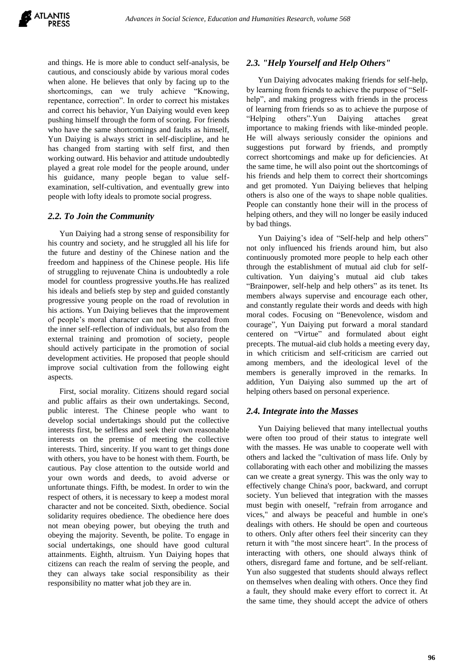and things. He is more able to conduct self-analysis, be cautious, and consciously abide by various moral codes when alone. He believes that only by facing up to the shortcomings, can we truly achieve "Knowing, repentance, correction". In order to correct his mistakes and correct his behavior, Yun Daiying would even keep pushing himself through the form of scoring. For friends who have the same shortcomings and faults as himself, Yun Daiying is always strict in self-discipline, and he has changed from starting with self first, and then working outward. His behavior and attitude undoubtedly played a great role model for the people around, under his guidance, many people began to value selfexamination, self-cultivation, and eventually grew into people with lofty ideals to promote social progress.

#### *2.2. To Join the Community*

Yun Daiying had a strong sense of responsibility for his country and society, and he struggled all his life for the future and destiny of the Chinese nation and the freedom and happiness of the Chinese people. His life of struggling to rejuvenate China is undoubtedly a role model for countless progressive youths.He has realized his ideals and beliefs step by step and guided constantly progressive young people on the road of revolution in his actions. Yun Daiying believes that the improvement of people's moral character can not be separated from the inner self-reflection of individuals, but also from the external training and promotion of society, people should actively participate in the promotion of social development activities. He proposed that people should improve social cultivation from the following eight aspects.

First, social morality. Citizens should regard social and public affairs as their own undertakings. Second, public interest. The Chinese people who want to develop social undertakings should put the collective interests first, be selfless and seek their own reasonable interests on the premise of meeting the collective interests. Third, sincerity. If you want to get things done with others, you have to be honest with them. Fourth, be cautious. Pay close attention to the outside world and your own words and deeds, to avoid adverse or unfortunate things. Fifth, be modest. In order to win the respect of others, it is necessary to keep a modest moral character and not be conceited. Sixth, obedience. Social solidarity requires obedience. The obedience here does not mean obeying power, but obeying the truth and obeying the majority. Seventh, be polite. To engage in social undertakings, one should have good cultural attainments. Eighth, altruism. Yun Daiying hopes that citizens can reach the realm of serving the people, and they can always take social responsibility as their responsibility no matter what job they are in.

#### *2.3. "Help Yourself and Help Others"*

Yun Daiying advocates making friends for self-help, by learning from friends to achieve the purpose of "Selfhelp", and making progress with friends in the process of learning from friends so as to achieve the purpose of "Helping others".Yun Daiying attaches great importance to making friends with like-minded people. He will always seriously consider the opinions and suggestions put forward by friends, and promptly correct shortcomings and make up for deficiencies. At the same time, he will also point out the shortcomings of his friends and help them to correct their shortcomings and get promoted. Yun Daiying believes that helping others is also one of the ways to shape noble qualities. People can constantly hone their will in the process of helping others, and they will no longer be easily induced by bad things.

Yun Daiying's idea of "Self-help and help others" not only influenced his friends around him, but also continuously promoted more people to help each other through the establishment of mutual aid club for selfcultivation. Yun daiying's mutual aid club takes "Brainpower, self-help and help others" as its tenet. Its members always supervise and encourage each other, and constantly regulate their words and deeds with high moral codes. Focusing on "Benevolence, wisdom and courage", Yun Daiying put forward a moral standard centered on "Virtue" and formulated about eight precepts. The mutual-aid club holds a meeting every day, in which criticism and self-criticism are carried out among members, and the ideological level of the members is generally improved in the remarks. In addition, Yun Daiying also summed up the art of helping others based on personal experience.

#### *2.4. Integrate into the Masses*

Yun Daiying believed that many intellectual youths were often too proud of their status to integrate well with the masses. He was unable to cooperate well with others and lacked the "cultivation of mass life. Only by collaborating with each other and mobilizing the masses can we create a great synergy. This was the only way to effectively change China's poor, backward, and corrupt society. Yun believed that integration with the masses must begin with oneself, "refrain from arrogance and vices," and always be peaceful and humble in one's dealings with others. He should be open and courteous to others. Only after others feel their sincerity can they return it with "the most sincere heart". In the process of interacting with others, one should always think of others, disregard fame and fortune, and be self-reliant. Yun also suggested that students should always reflect on themselves when dealing with others. Once they find a fault, they should make every effort to correct it. At the same time, they should accept the advice of others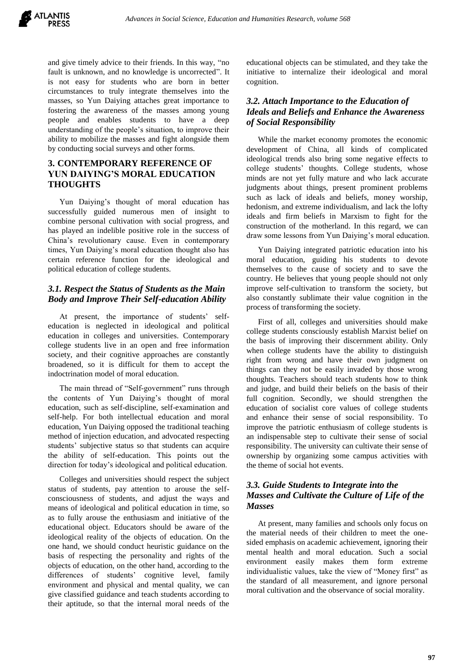and give timely advice to their friends. In this way, "no fault is unknown, and no knowledge is uncorrected". It is not easy for students who are born in better circumstances to truly integrate themselves into the masses, so Yun Daiying attaches great importance to fostering the awareness of the masses among young people and enables students to have a deep understanding of the people's situation, to improve their ability to mobilize the masses and fight alongside them by conducting social surveys and other forms.

## **3. CONTEMPORARY REFERENCE OF YUN DAIYING'S MORAL EDUCATION THOUGHTS**

Yun Daiying's thought of moral education has successfully guided numerous men of insight to combine personal cultivation with social progress, and has played an indelible positive role in the success of China's revolutionary cause. Even in contemporary times, Yun Daiying's moral education thought also has certain reference function for the ideological and political education of college students.

## *3.1. Respect the Status of Students as the Main Body and Improve Their Self-education Ability*

At present, the importance of students' selfeducation is neglected in ideological and political education in colleges and universities. Contemporary college students live in an open and free information society, and their cognitive approaches are constantly broadened, so it is difficult for them to accept the indoctrination model of moral education.

The main thread of "Self-government" runs through the contents of Yun Daiying's thought of moral education, such as self-discipline, self-examination and self-help. For both intellectual education and moral education, Yun Daiying opposed the traditional teaching method of injection education, and advocated respecting students' subjective status so that students can acquire the ability of self-education. This points out the direction for today's ideological and political education.

Colleges and universities should respect the subject status of students, pay attention to arouse the selfconsciousness of students, and adjust the ways and means of ideological and political education in time, so as to fully arouse the enthusiasm and initiative of the educational object. Educators should be aware of the ideological reality of the objects of education. On the one hand, we should conduct heuristic guidance on the basis of respecting the personality and rights of the objects of education, on the other hand, according to the differences of students' cognitive level, family environment and physical and mental quality, we can give classified guidance and teach students according to their aptitude, so that the internal moral needs of the educational objects can be stimulated, and they take the initiative to internalize their ideological and moral cognition.

## *3.2. Attach Importance to the Education of Ideals and Beliefs and Enhance the Awareness of Social Responsibility*

While the market economy promotes the economic development of China, all kinds of complicated ideological trends also bring some negative effects to college students' thoughts. College students, whose minds are not yet fully mature and who lack accurate judgments about things, present prominent problems such as lack of ideals and beliefs, money worship, hedonism, and extreme individualism, and lack the lofty ideals and firm beliefs in Marxism to fight for the construction of the motherland. In this regard, we can draw some lessons from Yun Daiying's moral education.

Yun Daiying integrated patriotic education into his moral education, guiding his students to devote themselves to the cause of society and to save the country. He believes that young people should not only improve self-cultivation to transform the society, but also constantly sublimate their value cognition in the process of transforming the society.

First of all, colleges and universities should make college students consciously establish Marxist belief on the basis of improving their discernment ability. Only when college students have the ability to distinguish right from wrong and have their own judgment on things can they not be easily invaded by those wrong thoughts. Teachers should teach students how to think and judge, and build their beliefs on the basis of their full cognition. Secondly, we should strengthen the education of socialist core values of college students and enhance their sense of social responsibility. To improve the patriotic enthusiasm of college students is an indispensable step to cultivate their sense of social responsibility. The university can cultivate their sense of ownership by organizing some campus activities with the theme of social hot events.

## *3.3. Guide Students to Integrate into the Masses and Cultivate the Culture of Life of the Masses*

At present, many families and schools only focus on the material needs of their children to meet the onesided emphasis on academic achievement, ignoring their mental health and moral education. Such a social environment easily makes them form extreme individualistic values, take the view of "Money first" as the standard of all measurement, and ignore personal moral cultivation and the observance of social morality.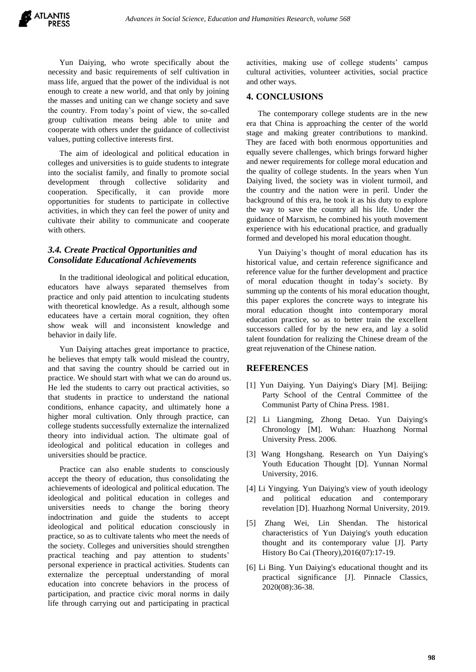Yun Daiying, who wrote specifically about the necessity and basic requirements of self cultivation in mass life, argued that the power of the individual is not enough to create a new world, and that only by joining the masses and uniting can we change society and save the country. From today's point of view, the so-called group cultivation means being able to unite and cooperate with others under the guidance of collectivist values, putting collective interests first.

The aim of ideological and political education in colleges and universities is to guide students to integrate into the socialist family, and finally to promote social development through collective solidarity and cooperation. Specifically, it can provide more opportunities for students to participate in collective activities, in which they can feel the power of unity and cultivate their ability to communicate and cooperate with others.

## *3.4. Create Practical Opportunities and Consolidate Educational Achievements*

In the traditional ideological and political education, educators have always separated themselves from practice and only paid attention to inculcating students with theoretical knowledge. As a result, although some educatees have a certain moral cognition, they often show weak will and inconsistent knowledge and behavior in daily life.

Yun Daiying attaches great importance to practice, he believes that empty talk would mislead the country, and that saving the country should be carried out in practice. We should start with what we can do around us. He led the students to carry out practical activities, so that students in practice to understand the national conditions, enhance capacity, and ultimately hone a higher moral cultivation. Only through practice, can college students successfully externalize the internalized theory into individual action. The ultimate goal of ideological and political education in colleges and universities should be practice.

Practice can also enable students to consciously accept the theory of education, thus consolidating the achievements of ideological and political education. The ideological and political education in colleges and universities needs to change the boring theory indoctrination and guide the students to accept ideological and political education consciously in practice, so as to cultivate talents who meet the needs of the society. Colleges and universities should strengthen practical teaching and pay attention to students' personal experience in practical activities. Students can externalize the perceptual understanding of moral education into concrete behaviors in the process of participation, and practice civic moral norms in daily life through carrying out and participating in practical activities, making use of college students' campus cultural activities, volunteer activities, social practice and other ways.

### **4. CONCLUSIONS**

The contemporary college students are in the new era that China is approaching the center of the world stage and making greater contributions to mankind. They are faced with both enormous opportunities and equally severe challenges, which brings forward higher and newer requirements for college moral education and the quality of college students. In the years when Yun Daiying lived, the society was in violent turmoil, and the country and the nation were in peril. Under the background of this era, he took it as his duty to explore the way to save the country all his life. Under the guidance of Marxism, he combined his youth movement experience with his educational practice, and gradually formed and developed his moral education thought.

Yun Daiying's thought of moral education has its historical value, and certain reference significance and reference value for the further development and practice of moral education thought in today's society. By summing up the contents of his moral education thought, this paper explores the concrete ways to integrate his moral education thought into contemporary moral education practice, so as to better train the excellent successors called for by the new era, and lay a solid talent foundation for realizing the Chinese dream of the great rejuvenation of the Chinese nation.

#### **REFERENCES**

- [1] Yun Daiying. Yun Daiying's Diary [M]. Beijing: Party School of the Central Committee of the Communist Party of China Press. 1981.
- [2] Li Liangming, Zhong Detao. Yun Daiying's Chronology [M]. Wuhan: Huazhong Normal University Press. 2006.
- [3] Wang Hongshang. Research on Yun Daiying's Youth Education Thought [D]. Yunnan Normal University, 2016.
- [4] Li Yingying. Yun Daiying's view of youth ideology and political education and contemporary revelation [D]. Huazhong Normal University, 2019.
- [5] Zhang Wei, Lin Shendan. The historical characteristics of Yun Daiying's youth education thought and its contemporary value [J]. Party History Bo Cai (Theory),2016(07):17-19.
- [6] Li Bing. Yun Daiying's educational thought and its practical significance [J]. Pinnacle Classics, 2020(08):36-38.